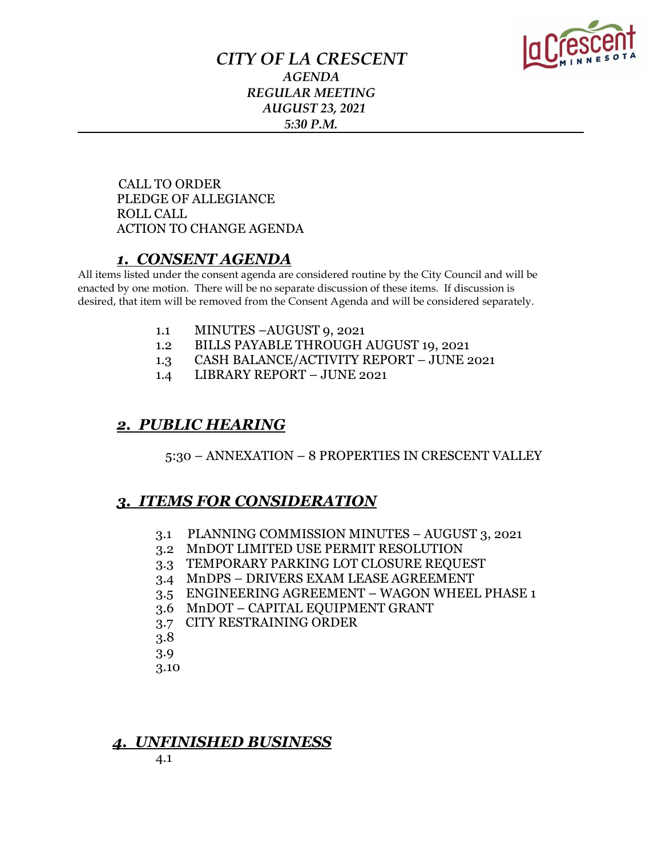

## *CITY OF LA CRESCENT AGENDA REGULAR MEETING AUGUST 23, 2021 5:30 P.M.*

 CALL TO ORDER PLEDGE OF ALLEGIANCE ROLL CALL ACTION TO CHANGE AGENDA

### *1. CONSENT AGENDA*

All items listed under the consent agenda are considered routine by the City Council and will be enacted by one motion. There will be no separate discussion of these items. If discussion is desired, that item will be removed from the Consent Agenda and will be considered separately.

- 1.1 MINUTES –AUGUST 9, 2021
- 1.2 BILLS PAYABLE THROUGH AUGUST 19, 2021
- 1.3 CASH BALANCE/ACTIVITY REPORT JUNE 2021
- 1.4 LIBRARY REPORT JUNE 2021

### *2. PUBLIC HEARING*

5:30 – ANNEXATION – 8 PROPERTIES IN CRESCENT VALLEY

## *3. ITEMS FOR CONSIDERATION*

- 3.1 PLANNING COMMISSION MINUTES AUGUST 3, 2021
- 3.2 MnDOT LIMITED USE PERMIT RESOLUTION
- 3.3 TEMPORARY PARKING LOT CLOSURE REQUEST
- 3.4 MnDPS DRIVERS EXAM LEASE AGREEMENT
- 3.5 ENGINEERING AGREEMENT WAGON WHEEL PHASE 1
- 3.6 MnDOT CAPITAL EQUIPMENT GRANT
- 3.7 CITY RESTRAINING ORDER
- 3.8
- 3.9
- 3.10

### *4. UNFINISHED BUSINESS*